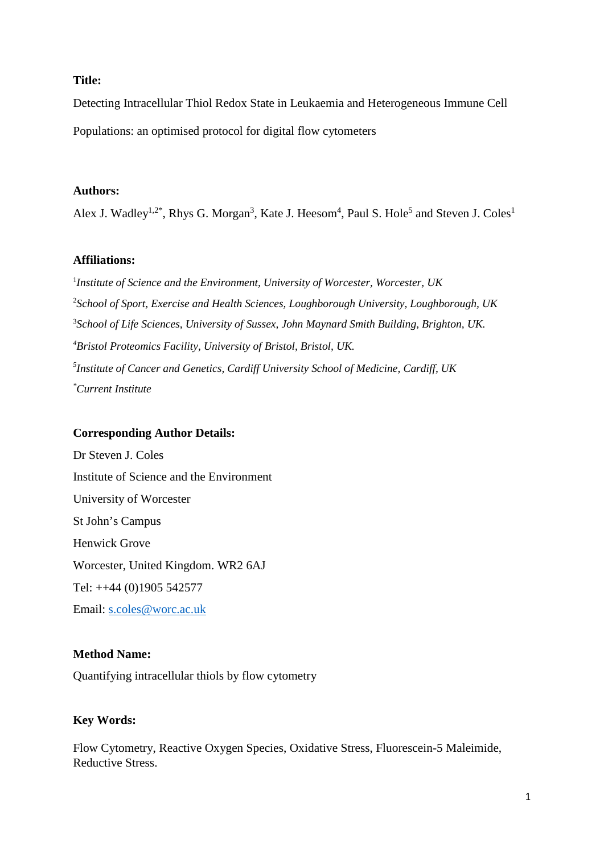#### **Title:**

Detecting Intracellular Thiol Redox State in Leukaemia and Heterogeneous Immune Cell Populations: an optimised protocol for digital flow cytometers

### **Authors:**

Alex J. Wadley<sup>1,2\*</sup>, Rhys G. Morgan<sup>3</sup>, Kate J. Heesom<sup>4</sup>, Paul S. Hole<sup>5</sup> and Steven J. Coles<sup>1</sup>

# **Affiliations:**

 *Institute of Science and the Environment, University of Worcester, Worcester, UK School of Sport, Exercise and Health Sciences, Loughborough University, Loughborough, UK School of Life Sciences, University of Sussex, John Maynard Smith Building, Brighton, UK. Bristol Proteomics Facility, University of Bristol, Bristol, UK. Institute of Cancer and Genetics, Cardiff University School of Medicine, Cardiff, UK \* Current Institute*

## **Corresponding Author Details:**

Dr Steven J. Coles Institute of Science and the Environment University of Worcester St John's Campus Henwick Grove Worcester, United Kingdom. WR2 6AJ Tel: ++44 (0)1905 542577 Email: [s.coles@worc.ac.uk](mailto:s.coles@worc.ac.uk)

# **Method Name:**

Quantifying intracellular thiols by flow cytometry

# **Key Words:**

Flow Cytometry, Reactive Oxygen Species, Oxidative Stress, Fluorescein-5 Maleimide, Reductive Stress.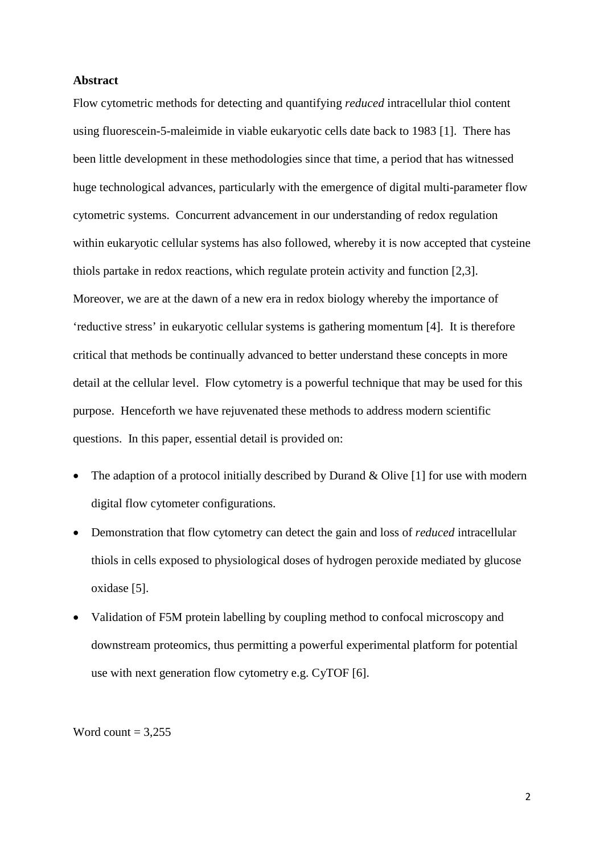#### **Abstract**

Flow cytometric methods for detecting and quantifying *reduced* intracellular thiol content using fluorescein-5-maleimide in viable eukaryotic cells date back to 1983 [1]. There has been little development in these methodologies since that time, a period that has witnessed huge technological advances, particularly with the emergence of digital multi-parameter flow cytometric systems. Concurrent advancement in our understanding of redox regulation within eukaryotic cellular systems has also followed, whereby it is now accepted that cysteine thiols partake in redox reactions, which regulate protein activity and function [2,3]. Moreover, we are at the dawn of a new era in redox biology whereby the importance of 'reductive stress' in eukaryotic cellular systems is gathering momentum [4]. It is therefore critical that methods be continually advanced to better understand these concepts in more detail at the cellular level. Flow cytometry is a powerful technique that may be used for this purpose. Henceforth we have rejuvenated these methods to address modern scientific questions. In this paper, essential detail is provided on:

- The adaption of a protocol initially described by Durand & Olive [1] for use with modern digital flow cytometer configurations.
- Demonstration that flow cytometry can detect the gain and loss of *reduced* intracellular thiols in cells exposed to physiological doses of hydrogen peroxide mediated by glucose oxidase [5].
- Validation of F5M protein labelling by coupling method to confocal microscopy and downstream proteomics, thus permitting a powerful experimental platform for potential use with next generation flow cytometry e.g. CyTOF [6].

Word count  $= 3,255$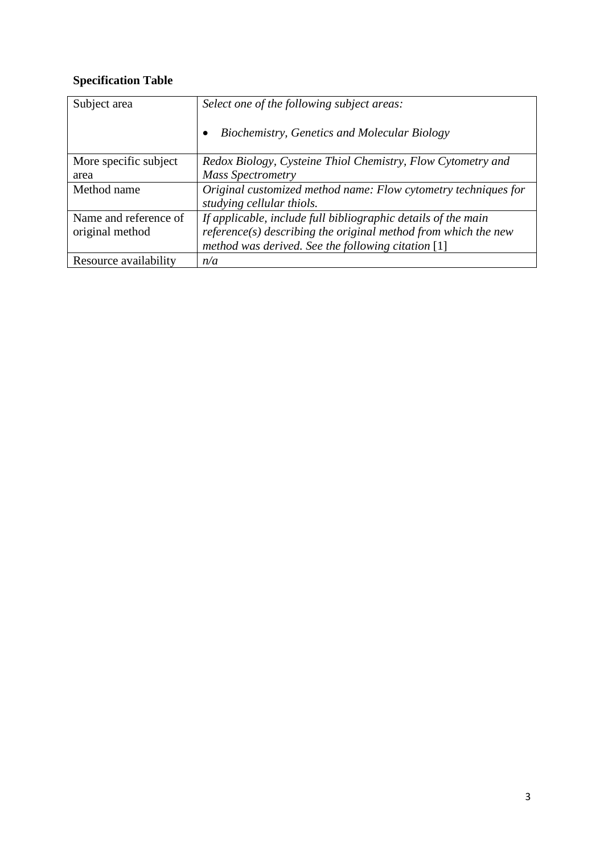# **Specification Table**

| Subject area                             | Select one of the following subject areas:                                                                                                                                              |
|------------------------------------------|-----------------------------------------------------------------------------------------------------------------------------------------------------------------------------------------|
|                                          | Biochemistry, Genetics and Molecular Biology                                                                                                                                            |
| More specific subject                    | Redox Biology, Cysteine Thiol Chemistry, Flow Cytometry and                                                                                                                             |
| area                                     | <b>Mass Spectrometry</b>                                                                                                                                                                |
| Method name                              | Original customized method name: Flow cytometry techniques for<br>studying cellular thiols.                                                                                             |
| Name and reference of<br>original method | If applicable, include full bibliographic details of the main<br>$reference(s)$ describing the original method from which the new<br>method was derived. See the following citation [1] |
| Resource availability                    | n/a                                                                                                                                                                                     |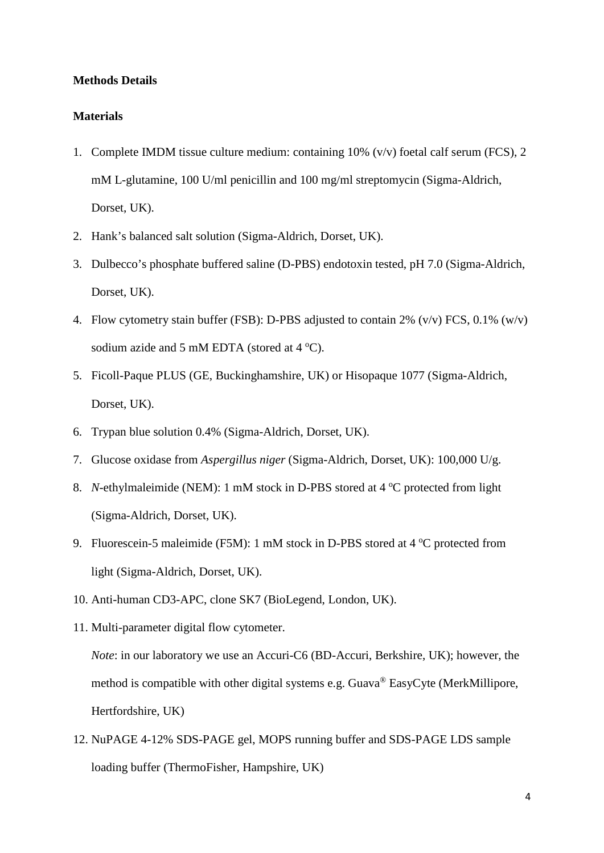#### **Methods Details**

#### **Materials**

- 1. Complete IMDM tissue culture medium: containing 10% (v/v) foetal calf serum (FCS), 2 mM L-glutamine, 100 U/ml penicillin and 100 mg/ml streptomycin (Sigma-Aldrich, Dorset, UK).
- 2. Hank's balanced salt solution (Sigma-Aldrich, Dorset, UK).
- 3. Dulbecco's phosphate buffered saline (D-PBS) endotoxin tested, pH 7.0 (Sigma-Aldrich, Dorset, UK).
- 4. Flow cytometry stain buffer (FSB): D-PBS adjusted to contain 2% (v/v) FCS, 0.1% (w/v) sodium azide and 5 mM EDTA (stored at  $4^{\circ}$ C).
- 5. Ficoll-Paque PLUS (GE, Buckinghamshire, UK) or Hisopaque 1077 (Sigma-Aldrich, Dorset, UK).
- 6. Trypan blue solution 0.4% (Sigma-Aldrich, Dorset, UK).
- 7. Glucose oxidase from *Aspergillus niger* (Sigma-Aldrich, Dorset, UK): 100,000 U/g.
- 8. *N*-ethylmaleimide (NEM): 1 mM stock in D-PBS stored at 4 °C protected from light (Sigma-Aldrich, Dorset, UK).
- 9. Fluorescein-5 maleimide (F5M): 1 mM stock in D-PBS stored at 4  $^{\circ}$ C protected from light (Sigma-Aldrich, Dorset, UK).
- 10. Anti-human CD3-APC, clone SK7 (BioLegend, London, UK).
- 11. Multi-parameter digital flow cytometer. *Note*: in our laboratory we use an Accuri-C6 (BD-Accuri, Berkshire, UK); however, the method is compatible with other digital systems e.g. Guava® EasyCyte (MerkMillipore, Hertfordshire, UK)
- 12. NuPAGE 4-12% SDS-PAGE gel, MOPS running buffer and SDS-PAGE LDS sample loading buffer (ThermoFisher, Hampshire, UK)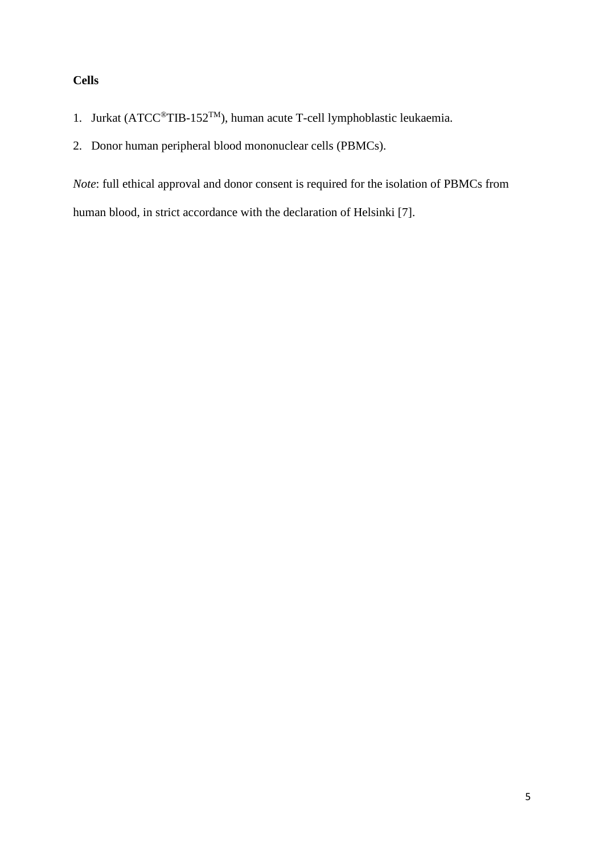# **Cells**

- 1. Jurkat (ATCC®TIB-152TM), human acute T-cell lymphoblastic leukaemia.
- 2. Donor human peripheral blood mononuclear cells (PBMCs).

*Note*: full ethical approval and donor consent is required for the isolation of PBMCs from human blood, in strict accordance with the declaration of Helsinki [7].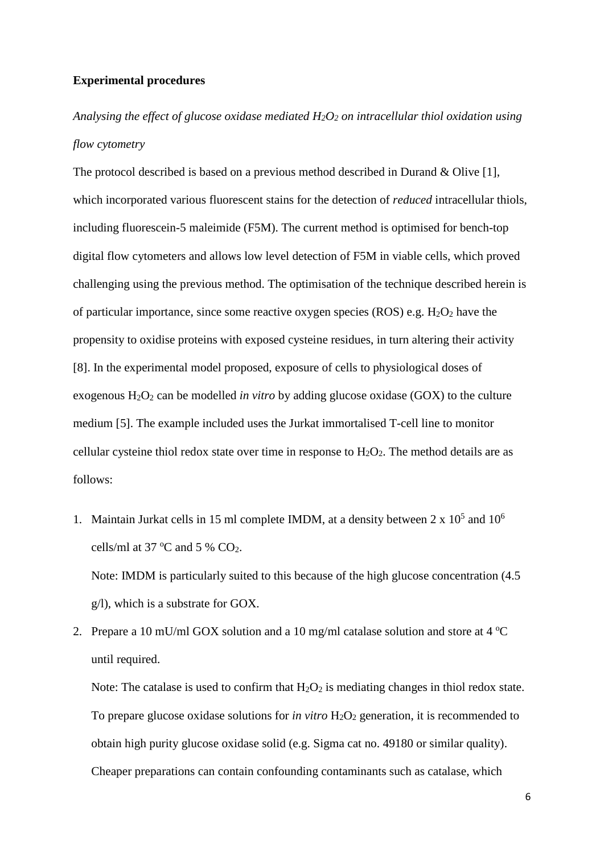#### **Experimental procedures**

# *Analysing the effect of glucose oxidase mediated H2O2 on intracellular thiol oxidation using flow cytometry*

The protocol described is based on a previous method described in Durand & Olive [1], which incorporated various fluorescent stains for the detection of *reduced* intracellular thiols, including fluorescein-5 maleimide (F5M). The current method is optimised for bench-top digital flow cytometers and allows low level detection of F5M in viable cells, which proved challenging using the previous method. The optimisation of the technique described herein is of particular importance, since some reactive oxygen species  $(ROS)$  e.g.  $H_2O_2$  have the propensity to oxidise proteins with exposed cysteine residues, in turn altering their activity [8]. In the experimental model proposed, exposure of cells to physiological doses of exogenous H<sub>2</sub>O<sub>2</sub> can be modelled *in vitro* by adding glucose oxidase (GOX) to the culture medium [5]. The example included uses the Jurkat immortalised T-cell line to monitor cellular cysteine thiol redox state over time in response to  $H_2O_2$ . The method details are as follows:

- 1. Maintain Jurkat cells in 15 ml complete IMDM, at a density between  $2 \times 10^5$  and  $10^6$ cells/ml at 37  $\mathrm{^{\circ}C}$  and 5 % CO<sub>2</sub>. Note: IMDM is particularly suited to this because of the high glucose concentration (4.5
- 2. Prepare a 10 mU/ml GOX solution and a 10 mg/ml catalase solution and store at 4 °C until required.

g/l), which is a substrate for GOX.

Note: The catalase is used to confirm that  $H_2O_2$  is mediating changes in thiol redox state. To prepare glucose oxidase solutions for *in vitro*  $H_2O_2$  generation, it is recommended to obtain high purity glucose oxidase solid (e.g. Sigma cat no. 49180 or similar quality). Cheaper preparations can contain confounding contaminants such as catalase, which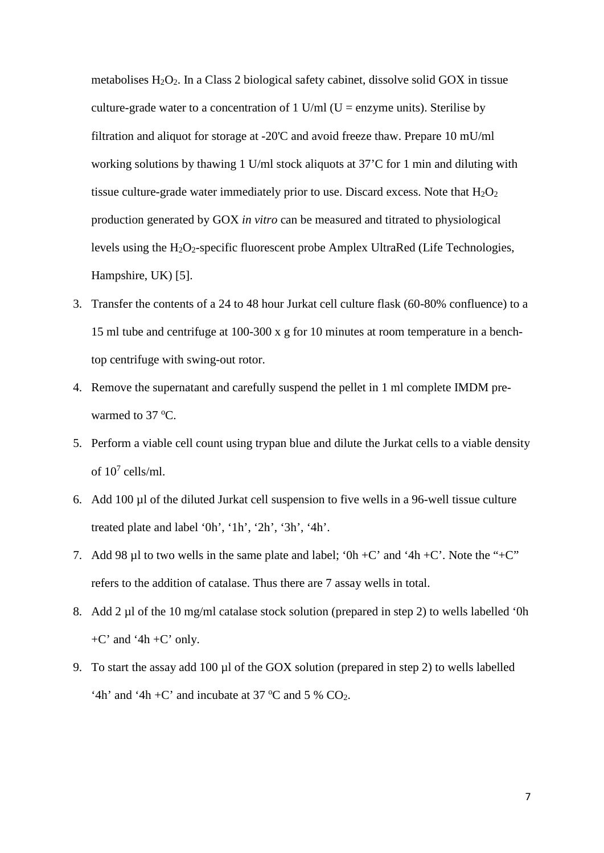metabolises  $H_2O_2$ . In a Class 2 biological safety cabinet, dissolve solid GOX in tissue culture-grade water to a concentration of 1 U/ml ( $U =$  enzyme units). Sterilise by filtration and aliquot for storage at -20'C and avoid freeze thaw. Prepare 10 mU/ml working solutions by thawing 1 U/ml stock aliquots at 37'C for 1 min and diluting with tissue culture-grade water immediately prior to use. Discard excess. Note that  $H_2O_2$ production generated by GOX *in vitro* can be measured and titrated to physiological levels using the H2O2-specific fluorescent probe Amplex UltraRed (Life Technologies, Hampshire, UK) [5].

- 3. Transfer the contents of a 24 to 48 hour Jurkat cell culture flask (60-80% confluence) to a 15 ml tube and centrifuge at 100-300 x g for 10 minutes at room temperature in a benchtop centrifuge with swing-out rotor.
- 4. Remove the supernatant and carefully suspend the pellet in 1 ml complete IMDM prewarmed to 37 °C.
- 5. Perform a viable cell count using trypan blue and dilute the Jurkat cells to a viable density of  $10^7$  cells/ml.
- 6. Add 100 µl of the diluted Jurkat cell suspension to five wells in a 96-well tissue culture treated plate and label '0h', '1h', '2h', '3h', '4h'.
- 7. Add 98 µl to two wells in the same plate and label; '0h +C' and '4h +C'. Note the "+C" refers to the addition of catalase. Thus there are 7 assay wells in total.
- 8. Add 2 µl of the 10 mg/ml catalase stock solution (prepared in step 2) to wells labelled '0h  $+C'$  and '4h  $+C'$  only.
- 9. To start the assay add 100 µl of the GOX solution (prepared in step 2) to wells labelled '4h' and '4h +C' and incubate at 37  $\mathrm{^{\circ}C}$  and 5 % CO<sub>2</sub>.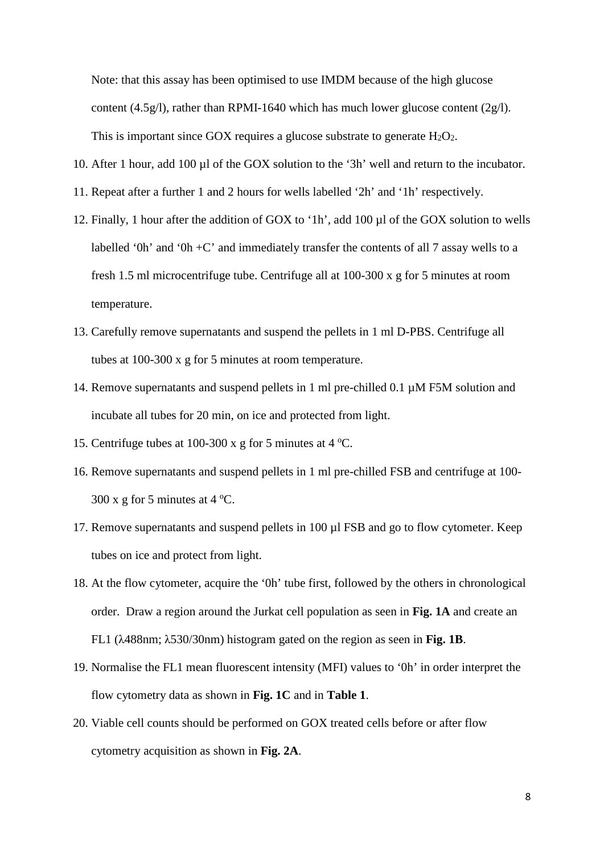Note: that this assay has been optimised to use IMDM because of the high glucose content (4.5g/l), rather than RPMI-1640 which has much lower glucose content (2g/l). This is important since GOX requires a glucose substrate to generate  $H_2O_2$ .

- 10. After 1 hour, add 100 µl of the GOX solution to the '3h' well and return to the incubator.
- 11. Repeat after a further 1 and 2 hours for wells labelled '2h' and '1h' respectively.
- 12. Finally, 1 hour after the addition of GOX to '1h', add 100 µl of the GOX solution to wells labelled '0h' and '0h +C' and immediately transfer the contents of all 7 assay wells to a fresh 1.5 ml microcentrifuge tube. Centrifuge all at 100-300 x g for 5 minutes at room temperature.
- 13. Carefully remove supernatants and suspend the pellets in 1 ml D-PBS. Centrifuge all tubes at 100-300 x g for 5 minutes at room temperature.
- 14. Remove supernatants and suspend pellets in 1 ml pre-chilled 0.1 µM F5M solution and incubate all tubes for 20 min, on ice and protected from light.
- 15. Centrifuge tubes at 100-300 x g for 5 minutes at 4  $^{\circ}$ C.
- 16. Remove supernatants and suspend pellets in 1 ml pre-chilled FSB and centrifuge at 100- 300 x g for 5 minutes at  $4^{\circ}$ C.
- 17. Remove supernatants and suspend pellets in 100 µl FSB and go to flow cytometer. Keep tubes on ice and protect from light.
- 18. At the flow cytometer, acquire the '0h' tube first, followed by the others in chronological order. Draw a region around the Jurkat cell population as seen in **Fig. 1A** and create an FL1 (λ488nm; λ530/30nm) histogram gated on the region as seen in **Fig. 1B**.
- 19. Normalise the FL1 mean fluorescent intensity (MFI) values to '0h' in order interpret the flow cytometry data as shown in **Fig. 1C** and in **Table 1**.
- 20. Viable cell counts should be performed on GOX treated cells before or after flow cytometry acquisition as shown in **Fig. 2A**.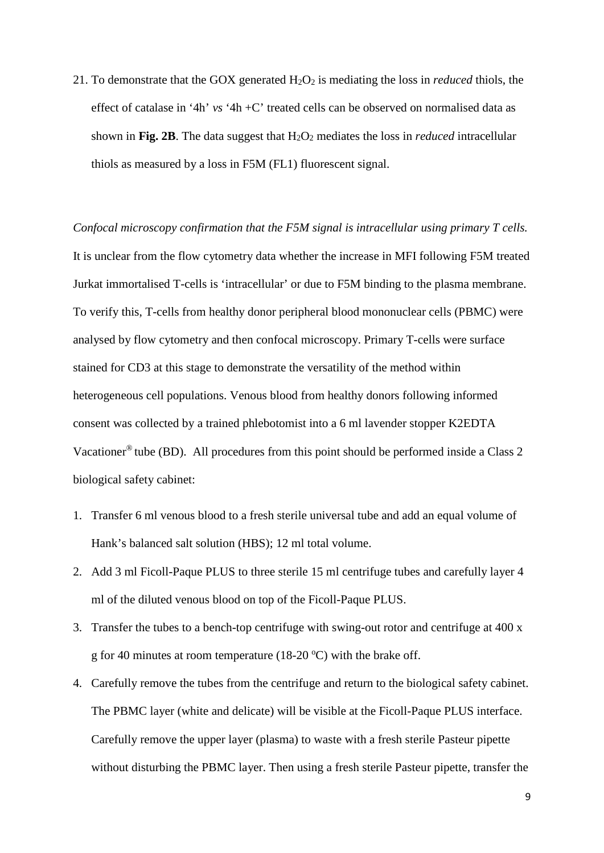21. To demonstrate that the GOX generated  $H_2O_2$  is mediating the loss in *reduced* thiols, the effect of catalase in '4h' *vs* '4h +C' treated cells can be observed on normalised data as shown in **Fig. 2B**. The data suggest that  $H_2O_2$  mediates the loss in *reduced* intracellular thiols as measured by a loss in F5M (FL1) fluorescent signal.

*Confocal microscopy confirmation that the F5M signal is intracellular using primary T cells.* It is unclear from the flow cytometry data whether the increase in MFI following F5M treated Jurkat immortalised T-cells is 'intracellular' or due to F5M binding to the plasma membrane. To verify this, T-cells from healthy donor peripheral blood mononuclear cells (PBMC) were analysed by flow cytometry and then confocal microscopy. Primary T-cells were surface stained for CD3 at this stage to demonstrate the versatility of the method within heterogeneous cell populations. Venous blood from healthy donors following informed consent was collected by a trained phlebotomist into a 6 ml lavender stopper K2EDTA Vacationer® tube (BD). All procedures from this point should be performed inside a Class 2 biological safety cabinet:

- 1. Transfer 6 ml venous blood to a fresh sterile universal tube and add an equal volume of Hank's balanced salt solution (HBS); 12 ml total volume.
- 2. Add 3 ml Ficoll-Paque PLUS to three sterile 15 ml centrifuge tubes and carefully layer 4 ml of the diluted venous blood on top of the Ficoll-Paque PLUS.
- 3. Transfer the tubes to a bench-top centrifuge with swing-out rotor and centrifuge at 400 x g for 40 minutes at room temperature (18-20  $^{\circ}$ C) with the brake off.
- 4. Carefully remove the tubes from the centrifuge and return to the biological safety cabinet. The PBMC layer (white and delicate) will be visible at the Ficoll-Paque PLUS interface. Carefully remove the upper layer (plasma) to waste with a fresh sterile Pasteur pipette without disturbing the PBMC layer. Then using a fresh sterile Pasteur pipette, transfer the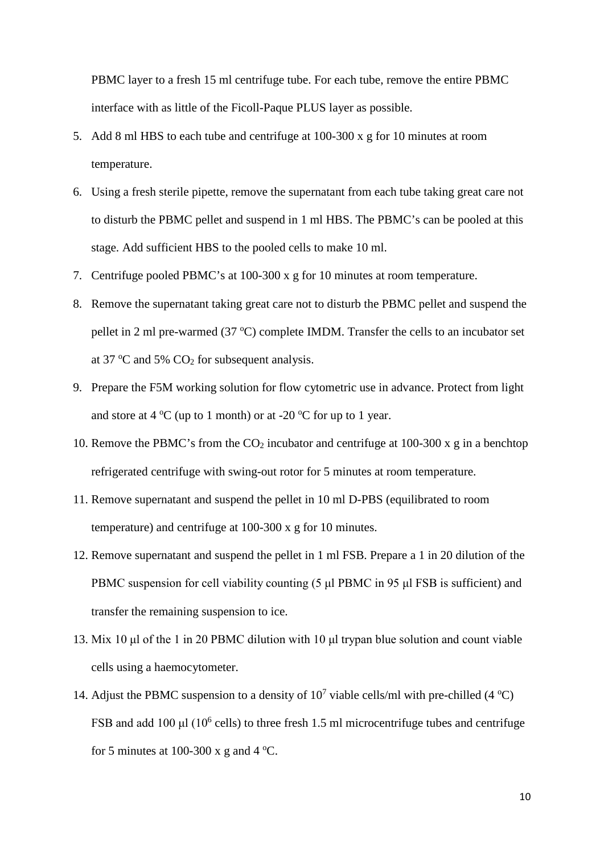PBMC layer to a fresh 15 ml centrifuge tube. For each tube, remove the entire PBMC interface with as little of the Ficoll-Paque PLUS layer as possible.

- 5. Add 8 ml HBS to each tube and centrifuge at 100-300 x g for 10 minutes at room temperature.
- 6. Using a fresh sterile pipette, remove the supernatant from each tube taking great care not to disturb the PBMC pellet and suspend in 1 ml HBS. The PBMC's can be pooled at this stage. Add sufficient HBS to the pooled cells to make 10 ml.
- 7. Centrifuge pooled PBMC's at 100-300 x g for 10 minutes at room temperature.
- 8. Remove the supernatant taking great care not to disturb the PBMC pellet and suspend the pellet in 2 ml pre-warmed (37 °C) complete IMDM. Transfer the cells to an incubator set at 37 °C and 5%  $CO<sub>2</sub>$  for subsequent analysis.
- 9. Prepare the F5M working solution for flow cytometric use in advance. Protect from light and store at  $4^{\circ}$ C (up to 1 month) or at -20  $^{\circ}$ C for up to 1 year.
- 10. Remove the PBMC's from the  $CO<sub>2</sub>$  incubator and centrifuge at 100-300 x g in a benchtop refrigerated centrifuge with swing-out rotor for 5 minutes at room temperature.
- 11. Remove supernatant and suspend the pellet in 10 ml D-PBS (equilibrated to room temperature) and centrifuge at 100-300 x g for 10 minutes.
- 12. Remove supernatant and suspend the pellet in 1 ml FSB. Prepare a 1 in 20 dilution of the PBMC suspension for cell viability counting (5 μl PBMC in 95 μl FSB is sufficient) and transfer the remaining suspension to ice.
- 13. Mix 10 μl of the 1 in 20 PBMC dilution with 10 μl trypan blue solution and count viable cells using a haemocytometer.
- 14. Adjust the PBMC suspension to a density of  $10^7$  viable cells/ml with pre-chilled (4 °C) FSB and add 100 μl  $(10^6 \text{ cells})$  to three fresh 1.5 ml microcentrifuge tubes and centrifuge for 5 minutes at 100-300 x g and 4  $^{\circ}$ C.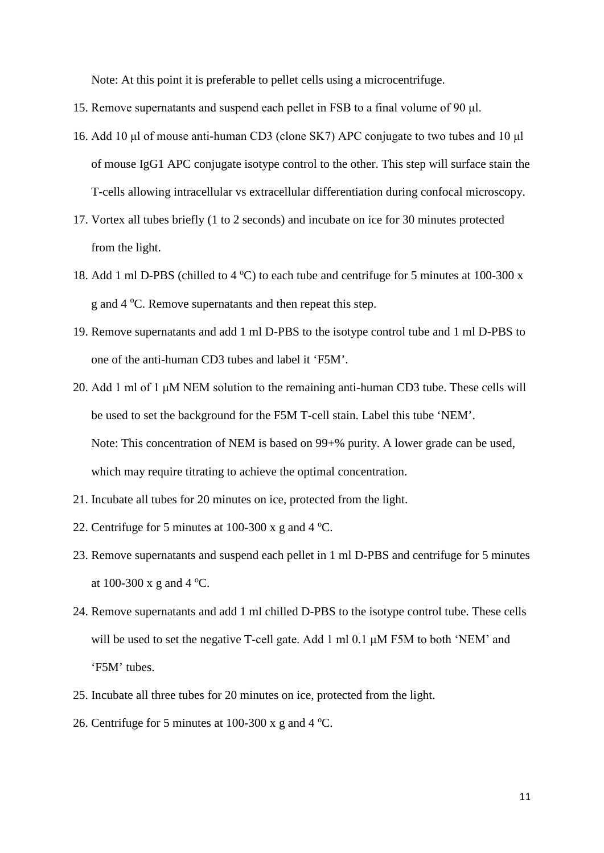Note: At this point it is preferable to pellet cells using a microcentrifuge.

- 15. Remove supernatants and suspend each pellet in FSB to a final volume of 90 μl.
- 16. Add 10 μl of mouse anti-human CD3 (clone SK7) APC conjugate to two tubes and 10 μl of mouse IgG1 APC conjugate isotype control to the other. This step will surface stain the T-cells allowing intracellular vs extracellular differentiation during confocal microscopy.
- 17. Vortex all tubes briefly (1 to 2 seconds) and incubate on ice for 30 minutes protected from the light.
- 18. Add 1 ml D-PBS (chilled to 4  $^{\circ}$ C) to each tube and centrifuge for 5 minutes at 100-300 x g and 4 °C. Remove supernatants and then repeat this step.
- 19. Remove supernatants and add 1 ml D-PBS to the isotype control tube and 1 ml D-PBS to one of the anti-human CD3 tubes and label it 'F5M'.
- 20. Add 1 ml of 1 μM NEM solution to the remaining anti-human CD3 tube. These cells will be used to set the background for the F5M T-cell stain. Label this tube 'NEM'. Note: This concentration of NEM is based on 99+% purity. A lower grade can be used, which may require titrating to achieve the optimal concentration.
- 21. Incubate all tubes for 20 minutes on ice, protected from the light.
- 22. Centrifuge for 5 minutes at 100-300 x g and  $4^{\circ}$ C.
- 23. Remove supernatants and suspend each pellet in 1 ml D-PBS and centrifuge for 5 minutes at 100-300 x g and  $4^{\circ}$ C.
- 24. Remove supernatants and add 1 ml chilled D-PBS to the isotype control tube. These cells will be used to set the negative T-cell gate. Add 1 ml 0.1 μM F5M to both 'NEM' and 'F5M' tubes.
- 25. Incubate all three tubes for 20 minutes on ice, protected from the light.
- 26. Centrifuge for 5 minutes at 100-300 x g and  $4^{\circ}$ C.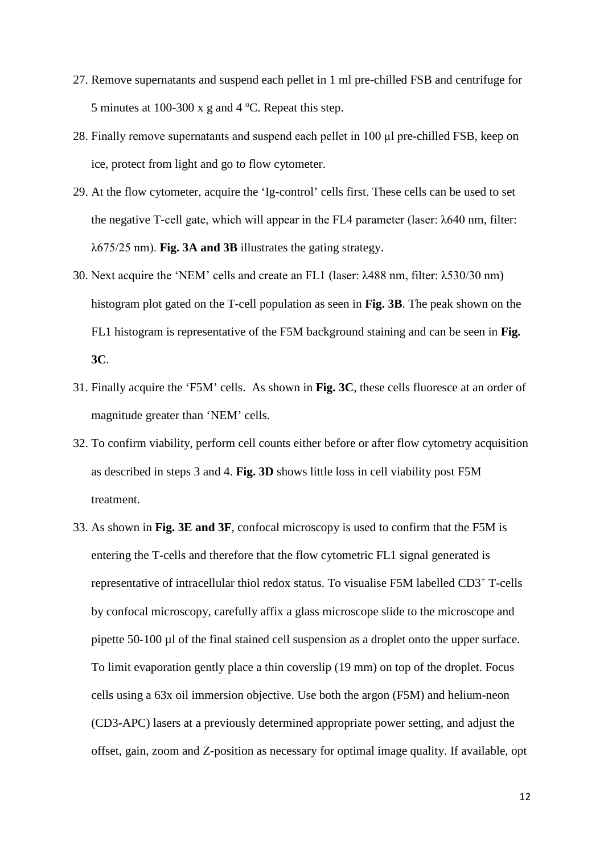- 27. Remove supernatants and suspend each pellet in 1 ml pre-chilled FSB and centrifuge for 5 minutes at 100-300 x g and  $4^{\circ}$ C. Repeat this step.
- 28. Finally remove supernatants and suspend each pellet in 100 μl pre-chilled FSB, keep on ice, protect from light and go to flow cytometer.
- 29. At the flow cytometer, acquire the 'Ig-control' cells first. These cells can be used to set the negative T-cell gate, which will appear in the FL4 parameter (laser: λ640 nm, filter: λ675/25 nm). **Fig. 3A and 3B** illustrates the gating strategy.
- 30. Next acquire the 'NEM' cells and create an FL1 (laser: λ488 nm, filter: λ530/30 nm) histogram plot gated on the T-cell population as seen in **Fig. 3B**. The peak shown on the FL1 histogram is representative of the F5M background staining and can be seen in **Fig. 3C**.
- 31. Finally acquire the 'F5M' cells. As shown in **Fig. 3C**, these cells fluoresce at an order of magnitude greater than 'NEM' cells.
- 32. To confirm viability, perform cell counts either before or after flow cytometry acquisition as described in steps 3 and 4. **Fig. 3D** shows little loss in cell viability post F5M treatment.
- 33. As shown in **Fig. 3E and 3F**, confocal microscopy is used to confirm that the F5M is entering the T-cells and therefore that the flow cytometric FL1 signal generated is representative of intracellular thiol redox status. To visualise F5M labelled CD3+ T-cells by confocal microscopy, carefully affix a glass microscope slide to the microscope and pipette 50-100 µl of the final stained cell suspension as a droplet onto the upper surface. To limit evaporation gently place a thin coverslip (19 mm) on top of the droplet. Focus cells using a 63x oil immersion objective. Use both the argon (F5M) and helium-neon (CD3-APC) lasers at a previously determined appropriate power setting, and adjust the offset, gain, zoom and Z-position as necessary for optimal image quality. If available, opt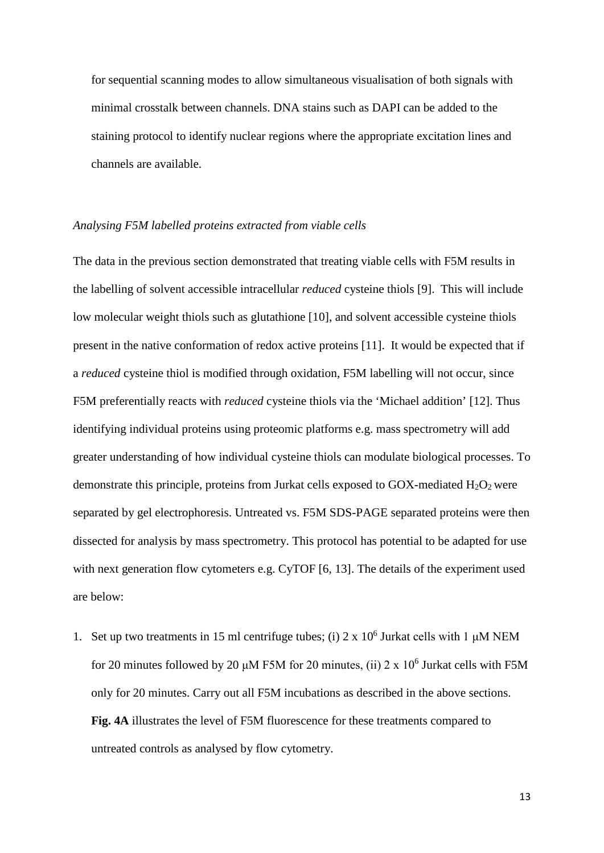for sequential scanning modes to allow simultaneous visualisation of both signals with minimal crosstalk between channels. DNA stains such as DAPI can be added to the staining protocol to identify nuclear regions where the appropriate excitation lines and channels are available.

#### *Analysing F5M labelled proteins extracted from viable cells*

The data in the previous section demonstrated that treating viable cells with F5M results in the labelling of solvent accessible intracellular *reduced* cysteine thiols [9]. This will include low molecular weight thiols such as glutathione [10], and solvent accessible cysteine thiols present in the native conformation of redox active proteins [11]. It would be expected that if a *reduced* cysteine thiol is modified through oxidation, F5M labelling will not occur, since F5M preferentially reacts with *reduced* cysteine thiols via the 'Michael addition' [12]. Thus identifying individual proteins using proteomic platforms e.g. mass spectrometry will add greater understanding of how individual cysteine thiols can modulate biological processes. To demonstrate this principle, proteins from Jurkat cells exposed to GOX-mediated  $H_2O_2$  were separated by gel electrophoresis. Untreated vs. F5M SDS-PAGE separated proteins were then dissected for analysis by mass spectrometry. This protocol has potential to be adapted for use with next generation flow cytometers e.g. CyTOF [6, 13]. The details of the experiment used are below:

1. Set up two treatments in 15 ml centrifuge tubes; (i)  $2 \times 10^6$  Jurkat cells with 1  $\mu$ M NEM for 20 minutes followed by 20  $\mu$ M F5M for 20 minutes, (ii) 2 x 10<sup>6</sup> Jurkat cells with F5M only for 20 minutes. Carry out all F5M incubations as described in the above sections. **Fig. 4A** illustrates the level of F5M fluorescence for these treatments compared to untreated controls as analysed by flow cytometry.

13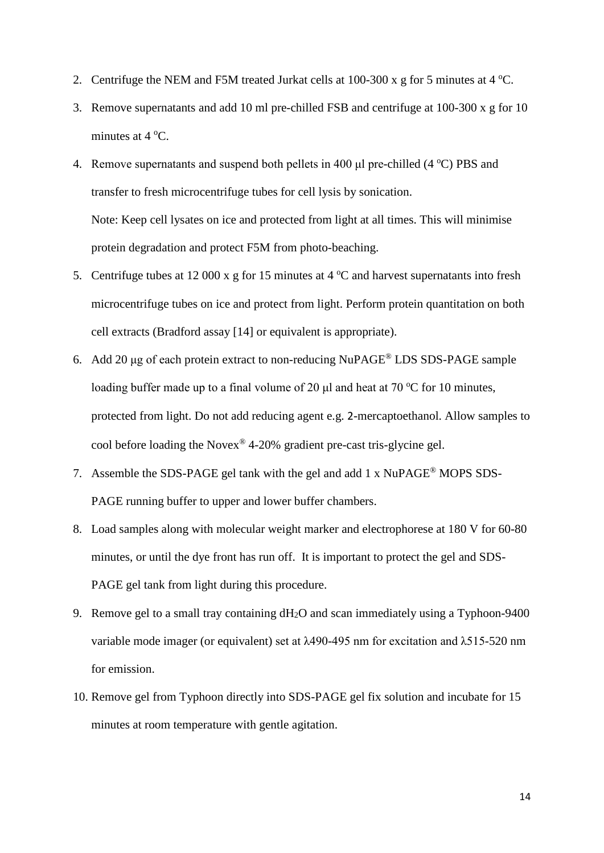- 2. Centrifuge the NEM and F5M treated Jurkat cells at  $100-300$  x g for 5 minutes at  $4^{\circ}$ C.
- 3. Remove supernatants and add 10 ml pre-chilled FSB and centrifuge at 100-300 x g for 10 minutes at  $4^{\circ}$ C.
- 4. Remove supernatants and suspend both pellets in 400  $\mu$ l pre-chilled (4 °C) PBS and transfer to fresh microcentrifuge tubes for cell lysis by sonication. Note: Keep cell lysates on ice and protected from light at all times. This will minimise protein degradation and protect F5M from photo-beaching.
- 5. Centrifuge tubes at 12 000 x g for 15 minutes at 4  $^{\circ}$ C and harvest supernatants into fresh microcentrifuge tubes on ice and protect from light. Perform protein quantitation on both cell extracts (Bradford assay [14] or equivalent is appropriate).
- 6. Add 20 μg of each protein extract to non-reducing NuPAGE® LDS SDS-PAGE sample loading buffer made up to a final volume of 20  $\mu$ l and heat at 70 °C for 10 minutes, protected from light. Do not add reducing agent e.g. 2-mercaptoethanol. Allow samples to cool before loading the Novex<sup>®</sup> 4-20% gradient pre-cast tris-glycine gel.
- 7. Assemble the SDS-PAGE gel tank with the gel and add 1 x NuPAGE® MOPS SDS-PAGE running buffer to upper and lower buffer chambers.
- 8. Load samples along with molecular weight marker and electrophorese at 180 V for 60-80 minutes, or until the dye front has run off. It is important to protect the gel and SDS-PAGE gel tank from light during this procedure.
- 9. Remove gel to a small tray containing dH2O and scan immediately using a Typhoon-9400 variable mode imager (or equivalent) set at λ490-495 nm for excitation and λ515-520 nm for emission.
- 10. Remove gel from Typhoon directly into SDS-PAGE gel fix solution and incubate for 15 minutes at room temperature with gentle agitation.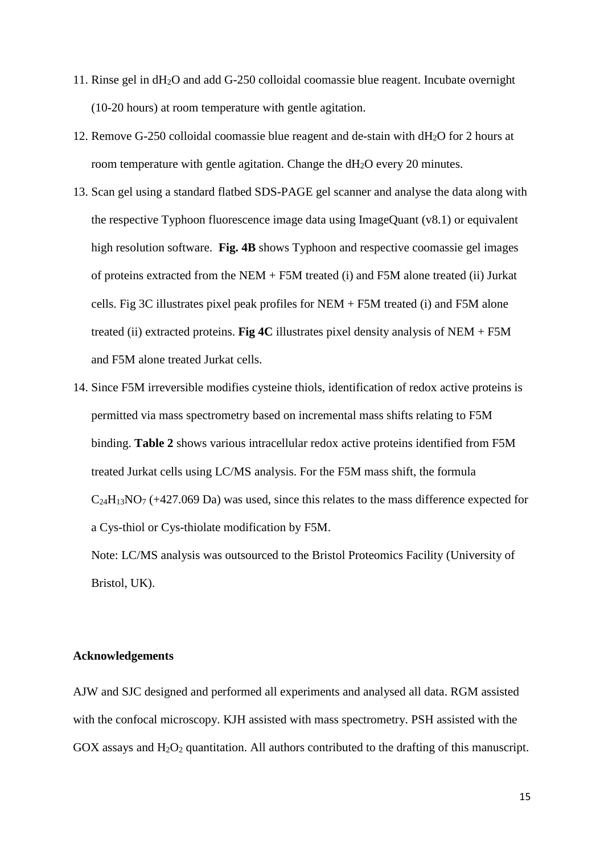- 11. Rinse gel in dH2O and add G-250 colloidal coomassie blue reagent. Incubate overnight (10-20 hours) at room temperature with gentle agitation.
- 12. Remove G-250 colloidal coomassie blue reagent and de-stain with  $dH_2O$  for 2 hours at room temperature with gentle agitation. Change the dH<sub>2</sub>O every 20 minutes.
- 13. Scan gel using a standard flatbed SDS-PAGE gel scanner and analyse the data along with the respective Typhoon fluorescence image data using ImageQuant (v8.1) or equivalent high resolution software. **Fig. 4B** shows Typhoon and respective coomassie gel images of proteins extracted from the NEM + F5M treated (i) and F5M alone treated (ii) Jurkat cells. Fig 3C illustrates pixel peak profiles for NEM + F5M treated (i) and F5M alone treated (ii) extracted proteins. **Fig 4C** illustrates pixel density analysis of NEM + F5M and F5M alone treated Jurkat cells.
- 14. Since F5M irreversible modifies cysteine thiols, identification of redox active proteins is permitted via mass spectrometry based on incremental mass shifts relating to F5M binding. **Table 2** shows various intracellular redox active proteins identified from F5M treated Jurkat cells using LC/MS analysis. For the F5M mass shift, the formula  $C_{24}H_{13}NO_7$  (+427.069 Da) was used, since this relates to the mass difference expected for a Cys-thiol or Cys-thiolate modification by F5M.

Note: LC/MS analysis was outsourced to the Bristol Proteomics Facility (University of Bristol, UK).

#### **Acknowledgements**

AJW and SJC designed and performed all experiments and analysed all data. RGM assisted with the confocal microscopy. KJH assisted with mass spectrometry. PSH assisted with the GOX assays and  $H_2O_2$  quantitation. All authors contributed to the drafting of this manuscript.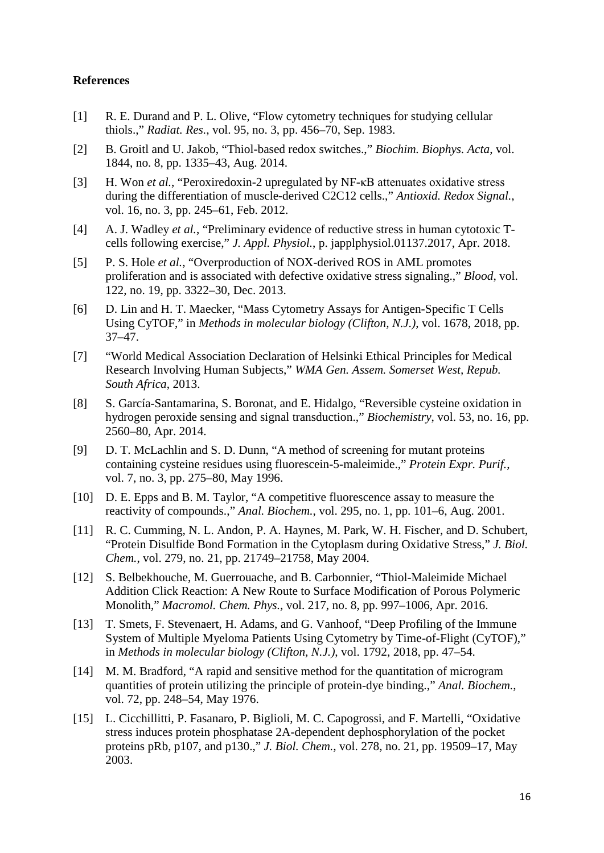#### **References**

- [1] R. E. Durand and P. L. Olive, "Flow cytometry techniques for studying cellular thiols.," *Radiat. Res.*, vol. 95, no. 3, pp. 456–70, Sep. 1983.
- [2] B. Groitl and U. Jakob, "Thiol-based redox switches.," *Biochim. Biophys. Acta*, vol. 1844, no. 8, pp. 1335–43, Aug. 2014.
- [3] H. Won *et al.*, "Peroxiredoxin-2 upregulated by NF-κB attenuates oxidative stress during the differentiation of muscle-derived C2C12 cells.," *Antioxid. Redox Signal.*, vol. 16, no. 3, pp. 245–61, Feb. 2012.
- [4] A. J. Wadley *et al.*, "Preliminary evidence of reductive stress in human cytotoxic Tcells following exercise," *J. Appl. Physiol.*, p. japplphysiol.01137.2017, Apr. 2018.
- [5] P. S. Hole *et al.*, "Overproduction of NOX-derived ROS in AML promotes proliferation and is associated with defective oxidative stress signaling.," *Blood*, vol. 122, no. 19, pp. 3322–30, Dec. 2013.
- [6] D. Lin and H. T. Maecker, "Mass Cytometry Assays for Antigen-Specific T Cells Using CyTOF," in *Methods in molecular biology (Clifton, N.J.)*, vol. 1678, 2018, pp. 37–47.
- [7] "World Medical Association Declaration of Helsinki Ethical Principles for Medical Research Involving Human Subjects," *WMA Gen. Assem. Somerset West, Repub. South Africa*, 2013.
- [8] S. García-Santamarina, S. Boronat, and E. Hidalgo, "Reversible cysteine oxidation in hydrogen peroxide sensing and signal transduction.," *Biochemistry*, vol. 53, no. 16, pp. 2560–80, Apr. 2014.
- [9] D. T. McLachlin and S. D. Dunn, "A method of screening for mutant proteins containing cysteine residues using fluorescein-5-maleimide.," *Protein Expr. Purif.*, vol. 7, no. 3, pp. 275–80, May 1996.
- [10] D. E. Epps and B. M. Taylor, "A competitive fluorescence assay to measure the reactivity of compounds.," *Anal. Biochem.*, vol. 295, no. 1, pp. 101–6, Aug. 2001.
- [11] R. C. Cumming, N. L. Andon, P. A. Haynes, M. Park, W. H. Fischer, and D. Schubert, "Protein Disulfide Bond Formation in the Cytoplasm during Oxidative Stress," *J. Biol. Chem.*, vol. 279, no. 21, pp. 21749–21758, May 2004.
- [12] S. Belbekhouche, M. Guerrouache, and B. Carbonnier, "Thiol-Maleimide Michael Addition Click Reaction: A New Route to Surface Modification of Porous Polymeric Monolith," *Macromol. Chem. Phys.*, vol. 217, no. 8, pp. 997–1006, Apr. 2016.
- [13] T. Smets, F. Stevenaert, H. Adams, and G. Vanhoof, "Deep Profiling of the Immune System of Multiple Myeloma Patients Using Cytometry by Time-of-Flight (CyTOF)," in *Methods in molecular biology (Clifton, N.J.)*, vol. 1792, 2018, pp. 47–54.
- [14] M. M. Bradford, "A rapid and sensitive method for the quantitation of microgram quantities of protein utilizing the principle of protein-dye binding.," *Anal. Biochem.*, vol. 72, pp. 248–54, May 1976.
- [15] L. Cicchillitti, P. Fasanaro, P. Biglioli, M. C. Capogrossi, and F. Martelli, "Oxidative stress induces protein phosphatase 2A-dependent dephosphorylation of the pocket proteins pRb, p107, and p130.," *J. Biol. Chem.*, vol. 278, no. 21, pp. 19509–17, May 2003.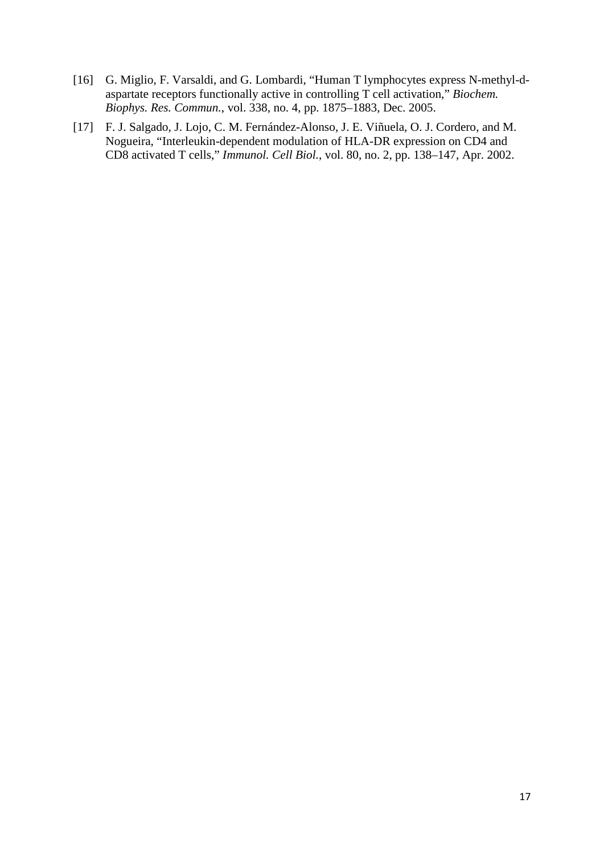- [16] G. Miglio, F. Varsaldi, and G. Lombardi, "Human T lymphocytes express N-methyl-daspartate receptors functionally active in controlling T cell activation," *Biochem. Biophys. Res. Commun.*, vol. 338, no. 4, pp. 1875–1883, Dec. 2005.
- [17] F. J. Salgado, J. Lojo, C. M. Fernández-Alonso, J. E. Viñuela, O. J. Cordero, and M. Nogueira, "Interleukin-dependent modulation of HLA-DR expression on CD4 and CD8 activated T cells," *Immunol. Cell Biol.*, vol. 80, no. 2, pp. 138–147, Apr. 2002.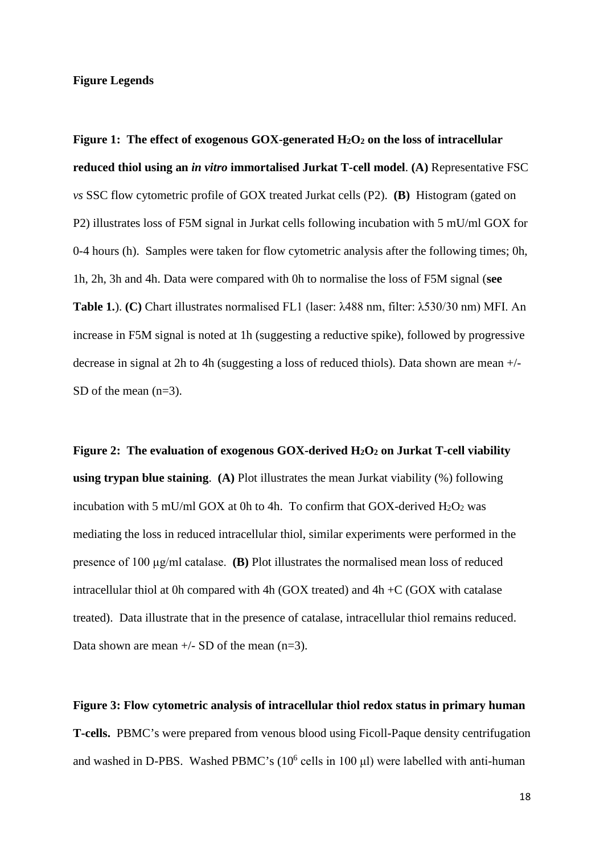#### **Figure Legends**

**Figure 1: The effect of exogenous GOX-generated H2O2 on the loss of intracellular reduced thiol using an** *in vitro* **immortalised Jurkat T-cell model**. **(A)** Representative FSC *vs* SSC flow cytometric profile of GOX treated Jurkat cells (P2). **(B)** Histogram (gated on P2) illustrates loss of F5M signal in Jurkat cells following incubation with 5 mU/ml GOX for 0-4 hours (h). Samples were taken for flow cytometric analysis after the following times; 0h, 1h, 2h, 3h and 4h. Data were compared with 0h to normalise the loss of F5M signal (**see Table 1.**). **(C)** Chart illustrates normalised FL1 (laser: λ488 nm, filter: λ530/30 nm) MFI. An increase in F5M signal is noted at 1h (suggesting a reductive spike), followed by progressive decrease in signal at 2h to 4h (suggesting a loss of reduced thiols). Data shown are mean +/- SD of the mean (n=3).

**Figure 2: The evaluation of exogenous GOX-derived H2O2 on Jurkat T-cell viability using trypan blue staining**. **(A)** Plot illustrates the mean Jurkat viability (%) following incubation with 5 mU/ml GOX at 0h to 4h. To confirm that GOX-derived  $H_2O_2$  was mediating the loss in reduced intracellular thiol, similar experiments were performed in the presence of 100 μg/ml catalase. **(B)** Plot illustrates the normalised mean loss of reduced intracellular thiol at 0h compared with 4h (GOX treated) and 4h +C (GOX with catalase treated). Data illustrate that in the presence of catalase, intracellular thiol remains reduced. Data shown are mean  $+/-$  SD of the mean (n=3).

**Figure 3: Flow cytometric analysis of intracellular thiol redox status in primary human T-cells.** PBMC's were prepared from venous blood using Ficoll-Paque density centrifugation and washed in D-PBS. Washed PBMC's  $(10^6 \text{ cells in } 100 \mu l)$  were labelled with anti-human